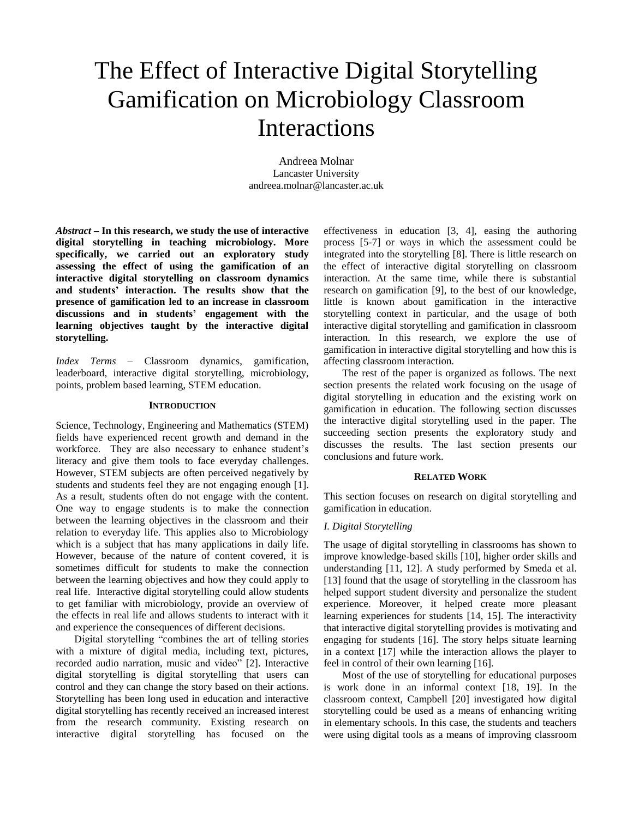# The Effect of Interactive Digital Storytelling Gamification on Microbiology Classroom Interactions

Andreea Molnar Lancaster University andreea.molnar@lancaster.ac.uk

*Abstract* **– In this research, we study the use of interactive digital storytelling in teaching microbiology. More specifically, we carried out an exploratory study assessing the effect of using the gamification of an interactive digital storytelling on classroom dynamics and students' interaction. The results show that the presence of gamification led to an increase in classroom discussions and in students' engagement with the learning objectives taught by the interactive digital storytelling.** 

*Index Terms* – Classroom dynamics, gamification, leaderboard, interactive digital storytelling, microbiology, points, problem based learning, STEM education.

#### **INTRODUCTION**

Science, Technology, Engineering and Mathematics (STEM) fields have experienced recent growth and demand in the workforce. They are also necessary to enhance student's literacy and give them tools to face everyday challenges. However, STEM subjects are often perceived negatively by students and students feel they are not engaging enough [1]. As a result, students often do not engage with the content. One way to engage students is to make the connection between the learning objectives in the classroom and their relation to everyday life. This applies also to Microbiology which is a subject that has many applications in daily life. However, because of the nature of content covered, it is sometimes difficult for students to make the connection between the learning objectives and how they could apply to real life. Interactive digital storytelling could allow students to get familiar with microbiology, provide an overview of the effects in real life and allows students to interact with it and experience the consequences of different decisions.

Digital storytelling "combines the art of telling stories with a mixture of digital media, including text, pictures, recorded audio narration, music and video" [2]. Interactive digital storytelling is digital storytelling that users can control and they can change the story based on their actions. Storytelling has been long used in education and interactive digital storytelling has recently received an increased interest from the research community. Existing research on interactive digital storytelling has focused on the effectiveness in education [3, 4], easing the authoring process [5-7] or ways in which the assessment could be integrated into the storytelling [8]. There is little research on the effect of interactive digital storytelling on classroom interaction. At the same time, while there is substantial research on gamification [9], to the best of our knowledge, little is known about gamification in the interactive storytelling context in particular, and the usage of both interactive digital storytelling and gamification in classroom interaction. In this research, we explore the use of gamification in interactive digital storytelling and how this is affecting classroom interaction.

The rest of the paper is organized as follows. The next section presents the related work focusing on the usage of digital storytelling in education and the existing work on gamification in education. The following section discusses the interactive digital storytelling used in the paper. The succeeding section presents the exploratory study and discusses the results. The last section presents our conclusions and future work.

## **RELATED WORK**

This section focuses on research on digital storytelling and gamification in education.

# *I. Digital Storytelling*

The usage of digital storytelling in classrooms has shown to improve knowledge-based skills [10], higher order skills and understanding [11, 12]. A study performed by Smeda et al. [13] found that the usage of storytelling in the classroom has helped support student diversity and personalize the student experience. Moreover, it helped create more pleasant learning experiences for students [14, 15]. The interactivity that interactive digital storytelling provides is motivating and engaging for students [16]. The story helps situate learning in a context [17] while the interaction allows the player to feel in control of their own learning [16].

Most of the use of storytelling for educational purposes is work done in an informal context [18, 19]. In the classroom context, Campbell [20] investigated how digital storytelling could be used as a means of enhancing writing in elementary schools. In this case, the students and teachers were using digital tools as a means of improving classroom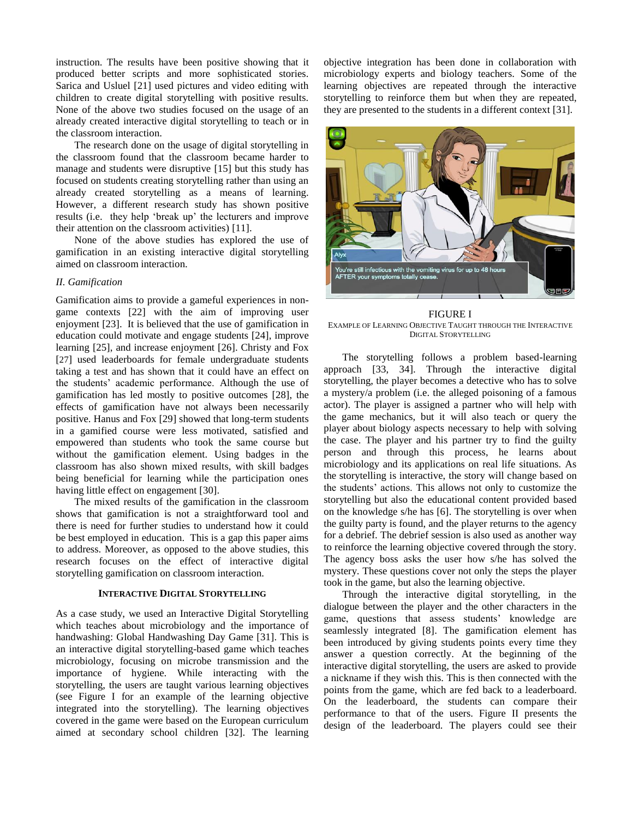instruction. The results have been positive showing that it produced better scripts and more sophisticated stories. Sarica and Usluel [21] used pictures and video editing with children to create digital storytelling with positive results. None of the above two studies focused on the usage of an already created interactive digital storytelling to teach or in the classroom interaction.

The research done on the usage of digital storytelling in the classroom found that the classroom became harder to manage and students were disruptive [15] but this study has focused on students creating storytelling rather than using an already created storytelling as a means of learning. However, a different research study has shown positive results (i.e. they help 'break up' the lecturers and improve their attention on the classroom activities) [11].

None of the above studies has explored the use of gamification in an existing interactive digital storytelling aimed on classroom interaction.

# *II. Gamification*

Gamification aims to provide a gameful experiences in nongame contexts [22] with the aim of improving user enjoyment [23]. It is believed that the use of gamification in education could motivate and engage students [24], improve learning [25], and increase enjoyment [26]. Christy and Fox [27] used leaderboards for female undergraduate students taking a test and has shown that it could have an effect on the students' academic performance. Although the use of gamification has led mostly to positive outcomes [28], the effects of gamification have not always been necessarily positive. Hanus and Fox [29] showed that long-term students in a gamified course were less motivated, satisfied and empowered than students who took the same course but without the gamification element. Using badges in the classroom has also shown mixed results, with skill badges being beneficial for learning while the participation ones having little effect on engagement [30].

The mixed results of the gamification in the classroom shows that gamification is not a straightforward tool and there is need for further studies to understand how it could be best employed in education. This is a gap this paper aims to address. Moreover, as opposed to the above studies, this research focuses on the effect of interactive digital storytelling gamification on classroom interaction.

# **INTERACTIVE DIGITAL STORYTELLING**

As a case study, we used an Interactive Digital Storytelling which teaches about microbiology and the importance of handwashing: Global Handwashing Day Game [31]. This is an interactive digital storytelling-based game which teaches microbiology, focusing on microbe transmission and the importance of hygiene. While interacting with the storytelling, the users are taught various learning objectives (see Figure I for an example of the learning objective integrated into the storytelling). The learning objectives covered in the game were based on the European curriculum aimed at secondary school children [32]. The learning objective integration has been done in collaboration with microbiology experts and biology teachers. Some of the learning objectives are repeated through the interactive storytelling to reinforce them but when they are repeated, they are presented to the students in a different context [31].



FIGURE I EXAMPLE OF LEARNING OBJECTIVE TAUGHT THROUGH THE INTERACTIVE DIGITAL STORYTELLING

The storytelling follows a problem based-learning approach [33, 34]. Through the interactive digital storytelling, the player becomes a detective who has to solve a mystery/a problem (i.e. the alleged poisoning of a famous actor). The player is assigned a partner who will help with the game mechanics, but it will also teach or query the player about biology aspects necessary to help with solving the case. The player and his partner try to find the guilty person and through this process, he learns about microbiology and its applications on real life situations. As the storytelling is interactive, the story will change based on the students' actions. This allows not only to customize the storytelling but also the educational content provided based on the knowledge s/he has [6]. The storytelling is over when the guilty party is found, and the player returns to the agency for a debrief. The debrief session is also used as another way to reinforce the learning objective covered through the story. The agency boss asks the user how s/he has solved the mystery. These questions cover not only the steps the player took in the game, but also the learning objective.

Through the interactive digital storytelling, in the dialogue between the player and the other characters in the game, questions that assess students' knowledge are seamlessly integrated [8]. The gamification element has been introduced by giving students points every time they answer a question correctly. At the beginning of the interactive digital storytelling, the users are asked to provide a nickname if they wish this. This is then connected with the points from the game, which are fed back to a leaderboard. On the leaderboard, the students can compare their performance to that of the users. Figure II presents the design of the leaderboard. The players could see their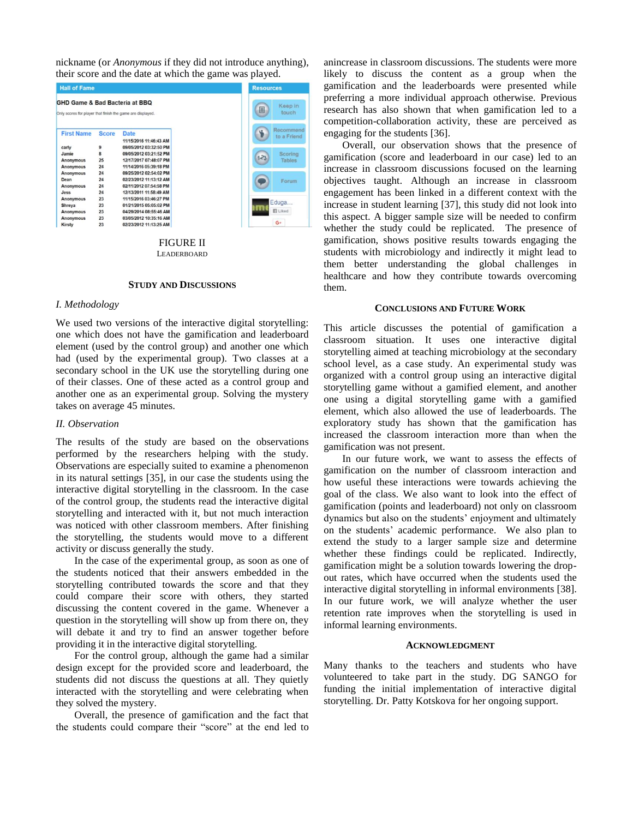nickname (or *Anonymous* if they did not introduce anything), their score and the date at which the game was played.

| <b>Hall of Fame</b><br>GHD Game & Bad Bacteria at BBQ<br>Only scores for player that finish the game are displayed. |              |                                | <b>Resources</b>         |
|---------------------------------------------------------------------------------------------------------------------|--------------|--------------------------------|--------------------------|
|                                                                                                                     |              |                                | Keep in<br>圓<br>touch    |
| <b>First Name</b>                                                                                                   | <b>Score</b> | Date<br>11/15/2016 11:46:43 AM | Recommend<br>to a Friend |
| carly                                                                                                               | 9            | 09/05/2012 03:32:50 PM         |                          |
| Jamie                                                                                                               | 8            | 09/05/2012 03:21:52 PM         | Scoring                  |
| Anonymous                                                                                                           | 25           | 12/17/2017 07:48:07 PM         | $1 - 3$<br><b>Tables</b> |
| <b>Anonymous</b>                                                                                                    | 24           | 11/14/2016 05:39:18 PM         |                          |
| Anonymous                                                                                                           | 24           | 09/25/2012 02:54:02 PM         |                          |
| Dean                                                                                                                | 24           | 02/23/2012 11:13:12 AM         | Forum                    |
| Anonymous                                                                                                           | 24           | 02/11/2012 07:54:58 PM         |                          |
| Jess                                                                                                                | 24           | 12/13/2011 11:58:49 AM         |                          |
| Anonymous                                                                                                           | 23           | 11/15/2016 03:46:27 PM         |                          |
| Shreya                                                                                                              | 23           | 01/21/2015 05:05:02 PM         | Eduga<br>im              |
| Anonymous                                                                                                           | 23           | 04/29/2014 08:55:46 AM         | <b>El Liked</b>          |
| Anonymous                                                                                                           | 23           | 03/05/2012 10:35:16 AM         |                          |
| Kirsty                                                                                                              | 23           | 02/23/2012 11:13:25 AM         | $G+$                     |

FIGURE II **LEADERBOARD** 

# **STUDY AND DISCUSSIONS**

# *I. Methodology*

We used two versions of the interactive digital storytelling: one which does not have the gamification and leaderboard element (used by the control group) and another one which had (used by the experimental group). Two classes at a secondary school in the UK use the storytelling during one of their classes. One of these acted as a control group and another one as an experimental group. Solving the mystery takes on average 45 minutes.

### *II. Observation*

The results of the study are based on the observations performed by the researchers helping with the study. Observations are especially suited to examine a phenomenon in its natural settings [35], in our case the students using the interactive digital storytelling in the classroom. In the case of the control group, the students read the interactive digital storytelling and interacted with it, but not much interaction was noticed with other classroom members. After finishing the storytelling, the students would move to a different activity or discuss generally the study.

In the case of the experimental group, as soon as one of the students noticed that their answers embedded in the storytelling contributed towards the score and that they could compare their score with others, they started discussing the content covered in the game. Whenever a question in the storytelling will show up from there on, they will debate it and try to find an answer together before providing it in the interactive digital storytelling.

For the control group, although the game had a similar design except for the provided score and leaderboard, the students did not discuss the questions at all. They quietly interacted with the storytelling and were celebrating when they solved the mystery.

Overall, the presence of gamification and the fact that the students could compare their "score" at the end led to anincrease in classroom discussions. The students were more likely to discuss the content as a group when the gamification and the leaderboards were presented while preferring a more individual approach otherwise. Previous research has also shown that when gamification led to a competition-collaboration activity, these are perceived as engaging for the students [36].

Overall, our observation shows that the presence of gamification (score and leaderboard in our case) led to an increase in classroom discussions focused on the learning objectives taught. Although an increase in classroom engagement has been linked in a different context with the increase in student learning [37], this study did not look into this aspect. A bigger sample size will be needed to confirm whether the study could be replicated. The presence of gamification, shows positive results towards engaging the students with microbiology and indirectly it might lead to them better understanding the global challenges in healthcare and how they contribute towards overcoming them.

#### **CONCLUSIONS AND FUTURE WORK**

This article discusses the potential of gamification a classroom situation. It uses one interactive digital storytelling aimed at teaching microbiology at the secondary school level, as a case study. An experimental study was organized with a control group using an interactive digital storytelling game without a gamified element, and another one using a digital storytelling game with a gamified element, which also allowed the use of leaderboards. The exploratory study has shown that the gamification has increased the classroom interaction more than when the gamification was not present.

In our future work, we want to assess the effects of gamification on the number of classroom interaction and how useful these interactions were towards achieving the goal of the class. We also want to look into the effect of gamification (points and leaderboard) not only on classroom dynamics but also on the students' enjoyment and ultimately on the students' academic performance. We also plan to extend the study to a larger sample size and determine whether these findings could be replicated. Indirectly, gamification might be a solution towards lowering the dropout rates, which have occurred when the students used the interactive digital storytelling in informal environments [38]. In our future work, we will analyze whether the user retention rate improves when the storytelling is used in informal learning environments.

# **ACKNOWLEDGMENT**

Many thanks to the teachers and students who have volunteered to take part in the study. DG SANGO for funding the initial implementation of interactive digital storytelling. Dr. Patty Kotskova for her ongoing support.